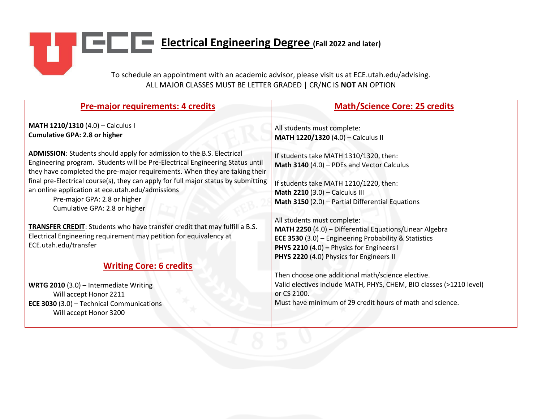# **ELECTRIC ELECTRICAL Engineering Degree** (Fall 2022 and later) ħ,

To schedule an appointment with an academic advisor, please visit us at ECE.utah.edu/advising. ALL MAJOR CLASSES MUST BE LETTER GRADED | CR/NC IS **NOT** AN OPTION

| Pre-major requirements: 4 credits                                                                                                                                                                                                                                                                                                                                                                                                                      | <b>Math/Science Core: 25 credits</b>                                                                                                                                                                                                                |
|--------------------------------------------------------------------------------------------------------------------------------------------------------------------------------------------------------------------------------------------------------------------------------------------------------------------------------------------------------------------------------------------------------------------------------------------------------|-----------------------------------------------------------------------------------------------------------------------------------------------------------------------------------------------------------------------------------------------------|
| MATH 1210/1310 (4.0) - Calculus I<br><b>Cumulative GPA: 2.8 or higher</b>                                                                                                                                                                                                                                                                                                                                                                              | All students must complete:<br>MATH 1220/1320 (4.0) - Calculus II                                                                                                                                                                                   |
| <b>ADMISSION:</b> Students should apply for admission to the B.S. Electrical<br>Engineering program. Students will be Pre-Electrical Engineering Status until<br>they have completed the pre-major requirements. When they are taking their<br>final pre-Electrical course(s), they can apply for full major status by submitting<br>an online application at ece.utah.edu/admissions<br>Pre-major GPA: 2.8 or higher<br>Cumulative GPA: 2.8 or higher | If students take MATH 1310/1320, then:<br>Math 3140 (4.0) - PDEs and Vector Calculus<br>If students take MATH 1210/1220, then:<br>Math 2210 (3.0) - Calculus III<br><b>Math 3150</b> $(2.0)$ – Partial Differential Equations                       |
| TRANSFER CREDIT: Students who have transfer credit that may fulfill a B.S.<br>Electrical Engineering requirement may petition for equivalency at<br>ECE.utah.edu/transfer                                                                                                                                                                                                                                                                              | All students must complete:<br>MATH 2250 (4.0) - Differential Equations/Linear Algebra<br><b>ECE 3530 (3.0) - Engineering Probability &amp; Statistics</b><br>PHYS 2210 (4.0) - Physics for Engineers I<br>PHYS 2220 (4.0) Physics for Engineers II |
| <b>Writing Core: 6 credits</b>                                                                                                                                                                                                                                                                                                                                                                                                                         | Then choose one additional math/science elective.                                                                                                                                                                                                   |
| WRTG 2010 (3.0) - Intermediate Writing<br>Will accept Honor 2211<br><b>ECE 3030 (3.0) - Technical Communications</b><br>Will accept Honor 3200                                                                                                                                                                                                                                                                                                         | Valid electives include MATH, PHYS, CHEM, BIO classes (>1210 level)<br>or CS 2100.<br>Must have minimum of 29 credit hours of math and science.                                                                                                     |